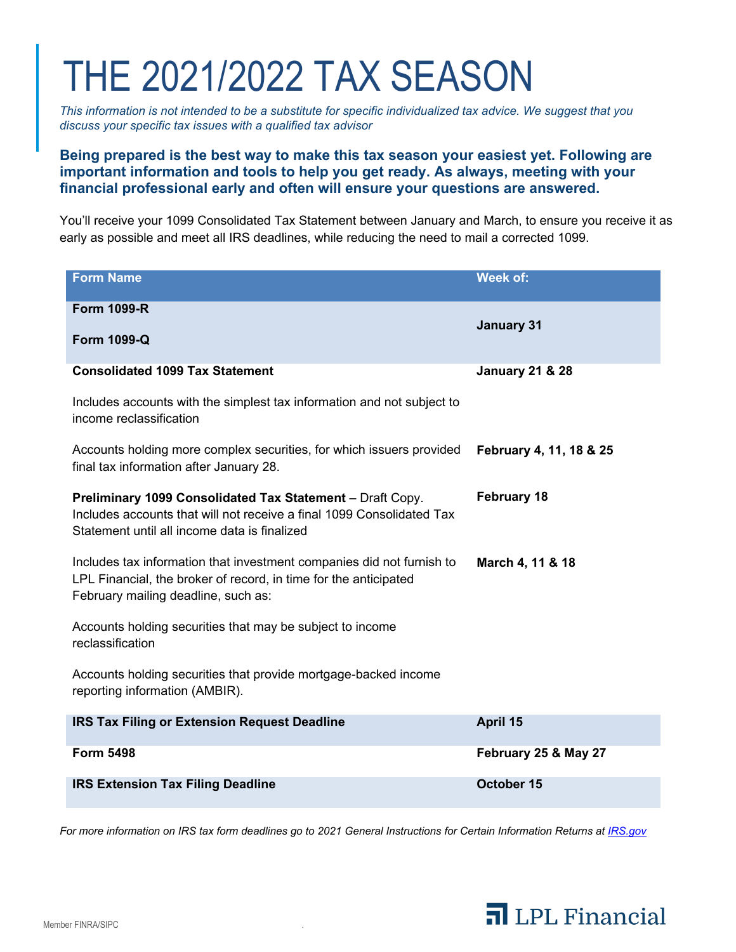# THE 2021/2022 TAX SEASON

*This information is not intended to be a substitute for specific individualized tax advice. We suggest that you discuss your specific tax issues with a qualified tax advisor* 

# **Being prepared is the best way to make this tax season your easiest yet. Following are important information and tools to help you get ready. As always, meeting with your financial professional early and often will ensure your questions are answered.**

You'll receive your 1099 Consolidated Tax Statement between January and March, to ensure you receive it as early as possible and meet all IRS deadlines, while reducing the need to mail a corrected 1099.

| <b>Form Name</b>                                                                                                                                                                   | Week of:                   |
|------------------------------------------------------------------------------------------------------------------------------------------------------------------------------------|----------------------------|
| <b>Form 1099-R</b>                                                                                                                                                                 | <b>January 31</b>          |
| <b>Form 1099-Q</b>                                                                                                                                                                 |                            |
| <b>Consolidated 1099 Tax Statement</b>                                                                                                                                             | <b>January 21 &amp; 28</b> |
| Includes accounts with the simplest tax information and not subject to<br>income reclassification                                                                                  |                            |
| Accounts holding more complex securities, for which issuers provided<br>final tax information after January 28.                                                                    | February 4, 11, 18 & 25    |
| Preliminary 1099 Consolidated Tax Statement - Draft Copy.<br>Includes accounts that will not receive a final 1099 Consolidated Tax<br>Statement until all income data is finalized | <b>February 18</b>         |
| Includes tax information that investment companies did not furnish to<br>LPL Financial, the broker of record, in time for the anticipated<br>February mailing deadline, such as:   | March 4, 11 & 18           |
| Accounts holding securities that may be subject to income<br>reclassification                                                                                                      |                            |
| Accounts holding securities that provide mortgage-backed income<br>reporting information (AMBIR).                                                                                  |                            |
| <b>IRS Tax Filing or Extension Request Deadline</b>                                                                                                                                | April 15                   |
| <b>Form 5498</b>                                                                                                                                                                   | February 25 & May 27       |
| <b>IRS Extension Tax Filing Deadline</b>                                                                                                                                           | October 15                 |

For more information on IRS tax form deadlines go to 2021 General Instructions for Certain Information Returns at IRS.gov